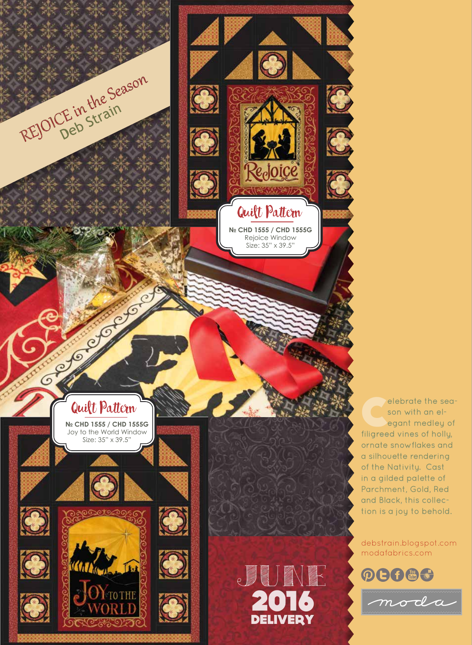

son with an elegant medley of filigreed vines of holly, ornate snowflakes and a silhouette rendering of the Nativity. Cast in a gilded palette of Parchment, Gold, Red and Black, this collection is a joy to behold.

debstrain.blogspot.com modafabrics.com

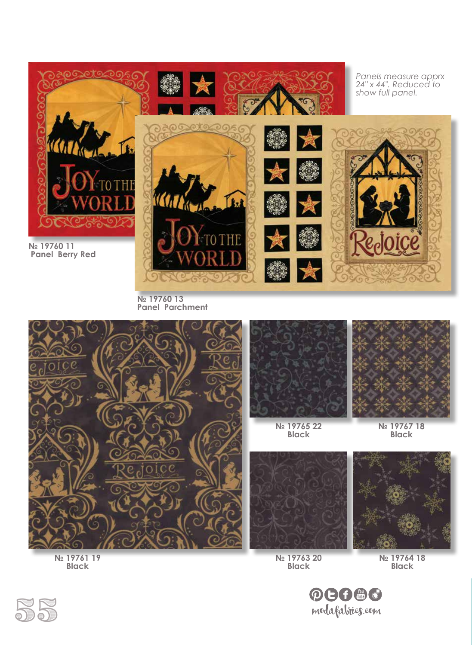

**№ 19760 13 Panel Parchment**





**№ 19765 22 Black**



**№ 19767 18 Black**



**№ 19763 20 Black**

**№ 19764 18 Black**



**Black**